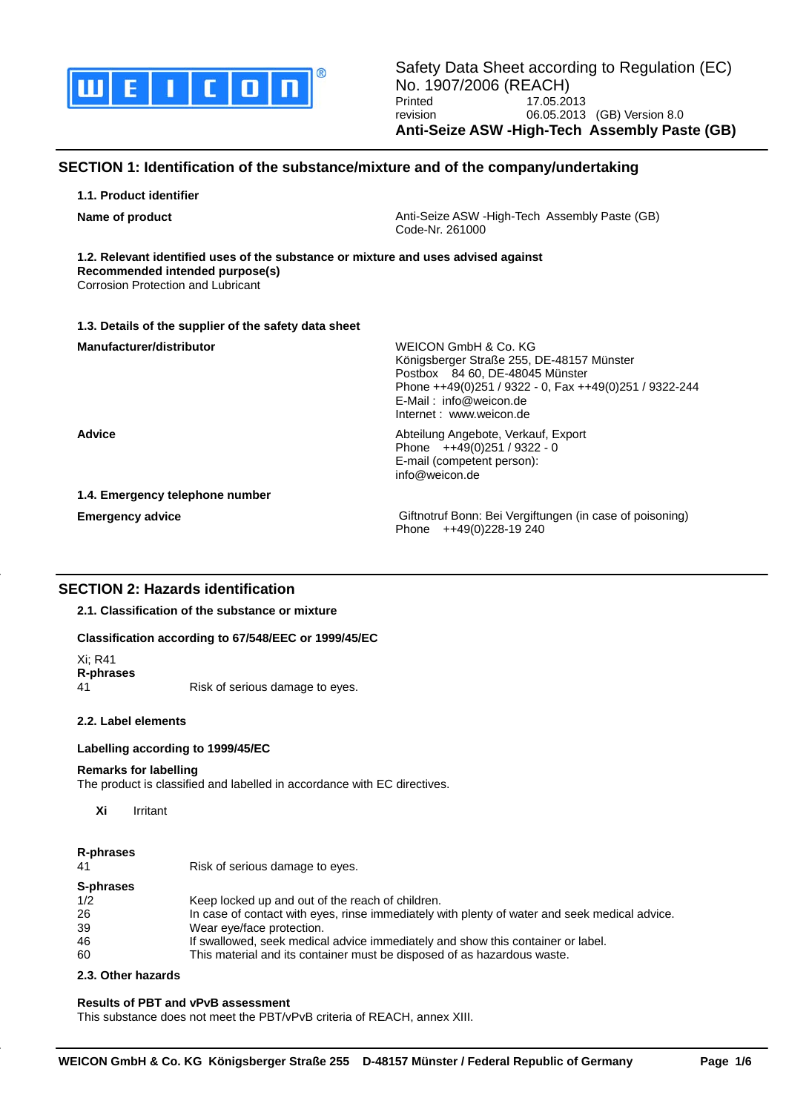

# **SECTION 1: Identification of the substance/mixture and of the company/undertaking**

**1.1. Product identifier**

**Name of product Anti-Seize ASW -High-Tech Assembly Paste (GB)** Anti-Seize ASW -High-Tech Assembly Paste (GB) Code-Nr. 261000

**1.2. Relevant identified uses of the substance or mixture and uses advised against Recommended intended purpose(s)**

Corrosion Protection and Lubricant

## **1.3. Details of the supplier of the safety data sheet**

| Manufacturer/distributor        | WEICON GmbH & Co. KG<br>Königsberger Straße 255, DE-48157 Münster<br>Postbox 84 60, DE-48045 Münster<br>Phone ++49(0)251 / 9322 - 0, Fax ++49(0)251 / 9322-244<br>$E$ -Mail: info@weicon.de<br>Internet: www.weicon.de |
|---------------------------------|------------------------------------------------------------------------------------------------------------------------------------------------------------------------------------------------------------------------|
| <b>Advice</b>                   | Abteilung Angebote, Verkauf, Export<br>Phone $++49(0)251/9322 - 0$<br>E-mail (competent person):<br>info@weicon.de                                                                                                     |
| 1.4. Emergency telephone number |                                                                                                                                                                                                                        |
| <b>Emergency advice</b>         | Giftnotruf Bonn: Bei Vergiftungen (in case of poisoning)<br>Phone $++49(0)228-19240$                                                                                                                                   |

# **SECTION 2: Hazards identification**

**2.1. Classification of the substance or mixture**

### **Classification according to 67/548/EEC or 1999/45/EC**

Xi; R41 **R-phrases**

Risk of serious damage to eyes.

### **2.2. Label elements**

### **Labelling according to 1999/45/EC**

### **Remarks for labelling**

The product is classified and labelled in accordance with EC directives.

**Xi** Irritant

## **R-phrases**

| 41        | Risk of serious damage to eyes.                                                               |
|-----------|-----------------------------------------------------------------------------------------------|
| S-phrases |                                                                                               |
| 1/2       | Keep locked up and out of the reach of children.                                              |
| 26        | In case of contact with eyes, rinse immediately with plenty of water and seek medical advice. |
| 39        | Wear eye/face protection.                                                                     |
| 46        | If swallowed, seek medical advice immediately and show this container or label.               |
| 60        | This material and its container must be disposed of as hazardous waste.                       |

## **2.3. Other hazards**

## **Results of PBT and vPvB assessment**

This substance does not meet the PBT/vPvB criteria of REACH, annex XIII.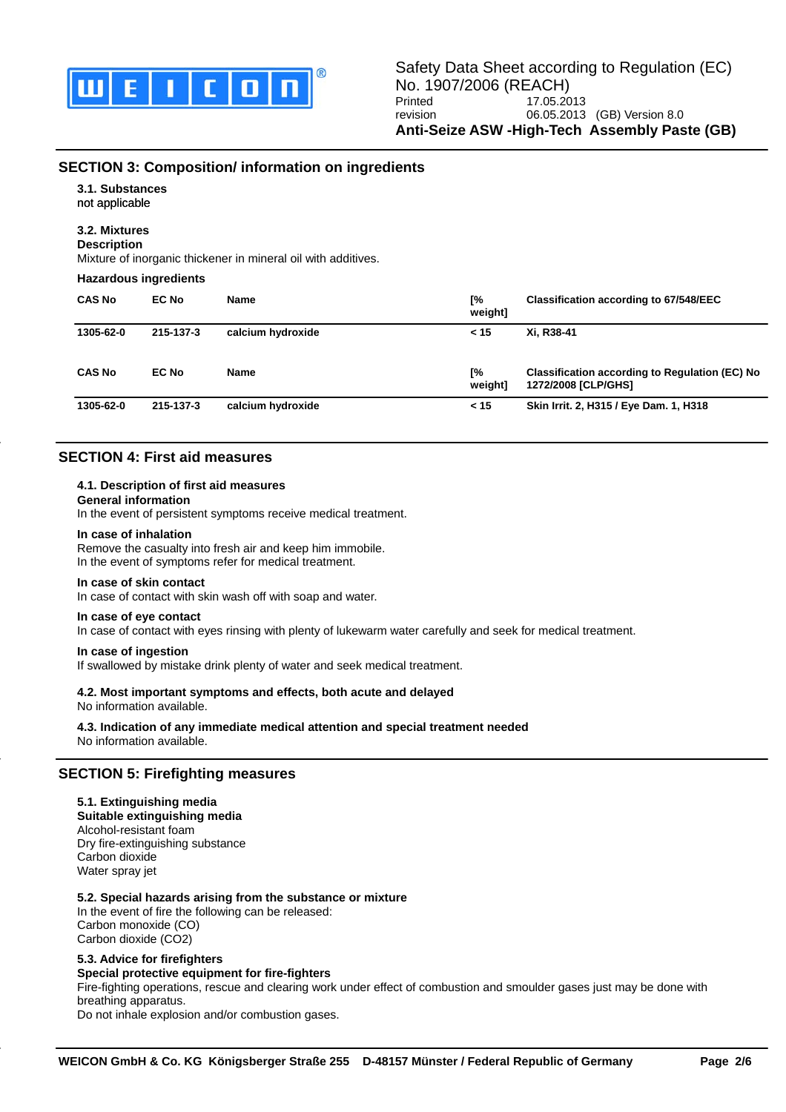

# **SECTION 3: Composition/ information on ingredients**

**3.1. Substances**

not applicable

# **3.2. Mixtures**

**Description**

Mixture of inorganic thickener in mineral oil with additives.

#### **Hazardous ingredients**

| <b>CAS No</b> | EC No     | Name              | Г%<br>weight] | Classification according to 67/548/EEC                                       |
|---------------|-----------|-------------------|---------------|------------------------------------------------------------------------------|
| 1305-62-0     | 215-137-3 | calcium hydroxide | < 15          | Xi. R38-41                                                                   |
| <b>CAS No</b> | EC No     | Name              | Г%<br>weight] | <b>Classification according to Regulation (EC) No</b><br>1272/2008 [CLP/GHS] |
| 1305-62-0     | 215-137-3 | calcium hydroxide | < 15          | Skin Irrit. 2, H315 / Eye Dam. 1, H318                                       |

# **SECTION 4: First aid measures**

### **4.1. Description of first aid measures**

### **General information**

In the event of persistent symptoms receive medical treatment.

#### **In case of inhalation**

Remove the casualty into fresh air and keep him immobile.

In the event of symptoms refer for medical treatment.

#### **In case of skin contact**

In case of contact with skin wash off with soap and water.

### **In case of eye contact**

In case of contact with eyes rinsing with plenty of lukewarm water carefully and seek for medical treatment.

### **In case of ingestion**

If swallowed by mistake drink plenty of water and seek medical treatment.

## **4.2. Most important symptoms and effects, both acute and delayed**

No information available.

**4.3. Indication of any immediate medical attention and special treatment needed** No information available.

# **SECTION 5: Firefighting measures**

### **5.1. Extinguishing media**

**Suitable extinguishing media** Alcohol-resistant foam Dry fire-extinguishing substance Carbon dioxide Water spray jet

### **5.2. Special hazards arising from the substance or mixture**

In the event of fire the following can be released: Carbon monoxide (CO) Carbon dioxide (CO2)

## **5.3. Advice for firefighters**

## **Special protective equipment for fire-fighters**

Fire-fighting operations, rescue and clearing work under effect of combustion and smoulder gases just may be done with breathing apparatus.

Do not inhale explosion and/or combustion gases.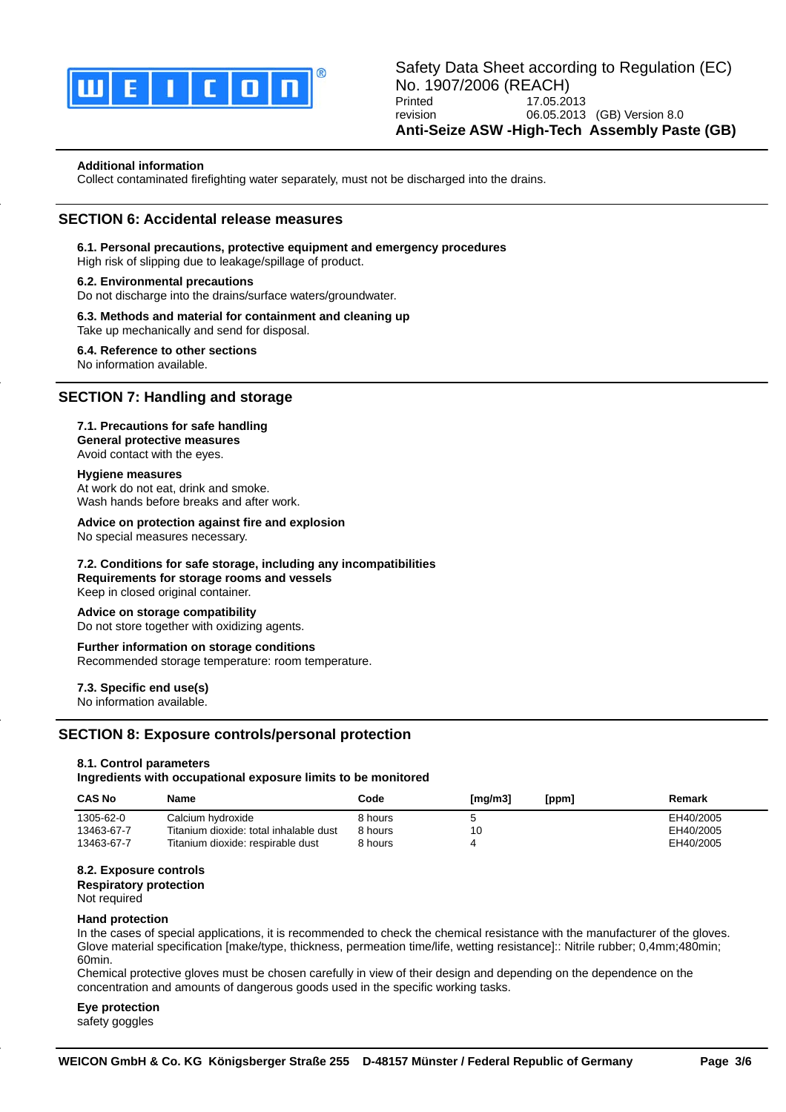

### **Additional information**

Collect contaminated firefighting water separately, must not be discharged into the drains.

## **SECTION 6: Accidental release measures**

# **6.1. Personal precautions, protective equipment and emergency procedures**

High risk of slipping due to leakage/spillage of product.

#### **6.2. Environmental precautions**

Do not discharge into the drains/surface waters/groundwater.

#### **6.3. Methods and material for containment and cleaning up** Take up mechanically and send for disposal.

**6.4. Reference to other sections** No information available.

## **SECTION 7: Handling and storage**

### **7.1. Precautions for safe handling**

**General protective measures** Avoid contact with the eyes.

#### **Hygiene measures**

At work do not eat, drink and smoke. Wash hands before breaks and after work.

#### **Advice on protection against fire and explosion**

No special measures necessary.

### **7.2. Conditions for safe storage, including any incompatibilities**

**Requirements for storage rooms and vessels** Keep in closed original container.

#### **Advice on storage compatibility**

Do not store together with oxidizing agents.

### **Further information on storage conditions**

Recommended storage temperature: room temperature.

### **7.3. Specific end use(s)**

No information available.

## **SECTION 8: Exposure controls/personal protection**

### **8.1. Control parameters**

#### **Ingredients with occupational exposure limits to be monitored**

| <b>CAS No</b> | Name                                   | Code    | [mq/m3] | [ppm] | Remark    |
|---------------|----------------------------------------|---------|---------|-------|-----------|
| 1305-62-0     | Calcium hydroxide                      | 8 hours |         |       | EH40/2005 |
| 13463-67-7    | Titanium dioxide: total inhalable dust | 8 hours | 10      |       | EH40/2005 |
| 13463-67-7    | Titanium dioxide: respirable dust      | 8 hours |         |       | EH40/2005 |

### **8.2. Exposure controls**

**Respiratory protection**

Not required

#### **Hand protection**

In the cases of special applications, it is recommended to check the chemical resistance with the manufacturer of the gloves. Glove material specification [make/type, thickness, permeation time/life, wetting resistance]:: Nitrile rubber; 0,4mm;480min; 60min.

Chemical protective gloves must be chosen carefully in view of their design and depending on the dependence on the concentration and amounts of dangerous goods used in the specific working tasks.

**Eye protection**

safety goggles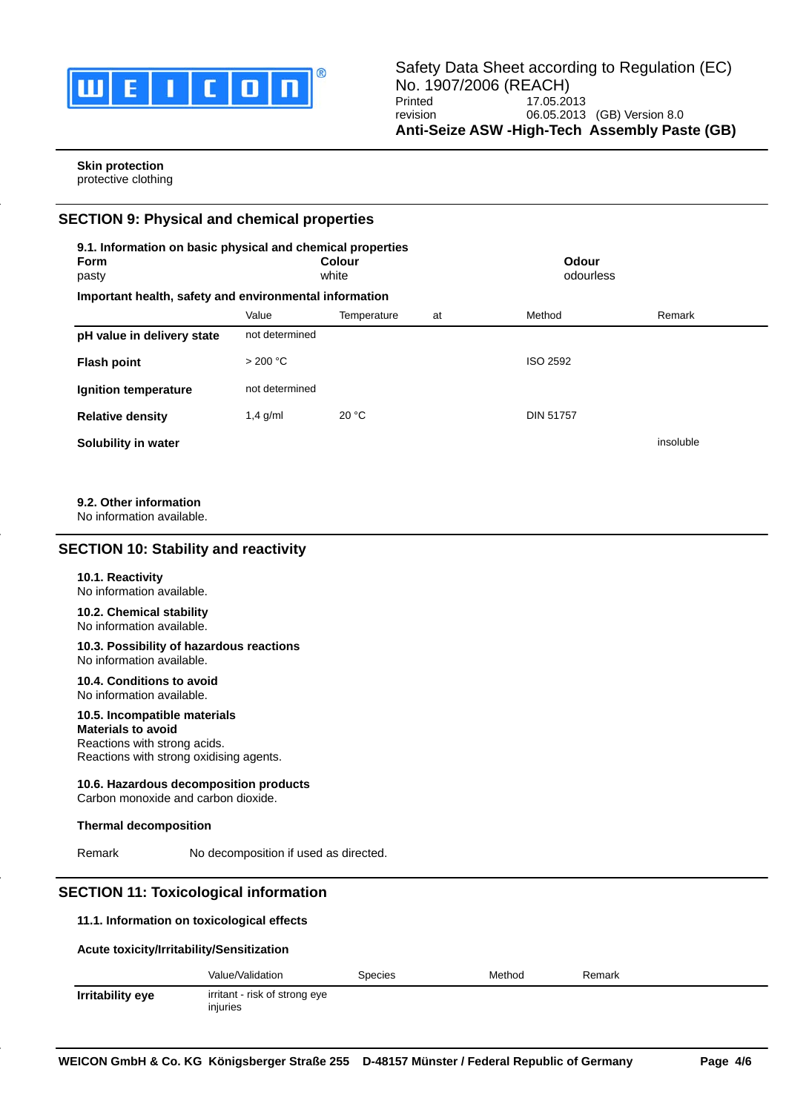

### **Skin protection** protective clothing

# **SECTION 9: Physical and chemical properties**

| <b>Form</b><br>pasty                                   | 9.1. Information on basic physical and chemical properties<br>Colour<br>white |             | Odour<br>odourless |                  |           |
|--------------------------------------------------------|-------------------------------------------------------------------------------|-------------|--------------------|------------------|-----------|
| Important health, safety and environmental information |                                                                               |             |                    |                  |           |
|                                                        | Value                                                                         | Temperature | at                 | Method           | Remark    |
| pH value in delivery state                             | not determined                                                                |             |                    |                  |           |
| <b>Flash point</b>                                     | > 200 °C                                                                      |             |                    | ISO 2592         |           |
| Ignition temperature                                   | not determined                                                                |             |                    |                  |           |
| <b>Relative density</b>                                | $1,4$ g/ml                                                                    | 20 °C       |                    | <b>DIN 51757</b> |           |
| Solubility in water                                    |                                                                               |             |                    |                  | insoluble |

## **9.2. Other information**

No information available.

# **SECTION 10: Stability and reactivity**

### **10.1. Reactivity**

No information available.

#### **10.2. Chemical stability** No information available.

#### **10.3. Possibility of hazardous reactions** No information available.

**10.4. Conditions to avoid** No information available.

# **10.5. Incompatible materials**

### **Materials to avoid** Reactions with strong acids. Reactions with strong oxidising agents.

## **10.6. Hazardous decomposition products**

Carbon monoxide and carbon dioxide.

## **Thermal decomposition**

Remark No decomposition if used as directed.

# **SECTION 11: Toxicological information**

## **11.1. Information on toxicological effects**

## **Acute toxicity/Irritability/Sensitization**

|                  | Value/Validation                          | Species | Method | Remark |
|------------------|-------------------------------------------|---------|--------|--------|
| Irritability eye | irritant - risk of strong eye<br>injuries |         |        |        |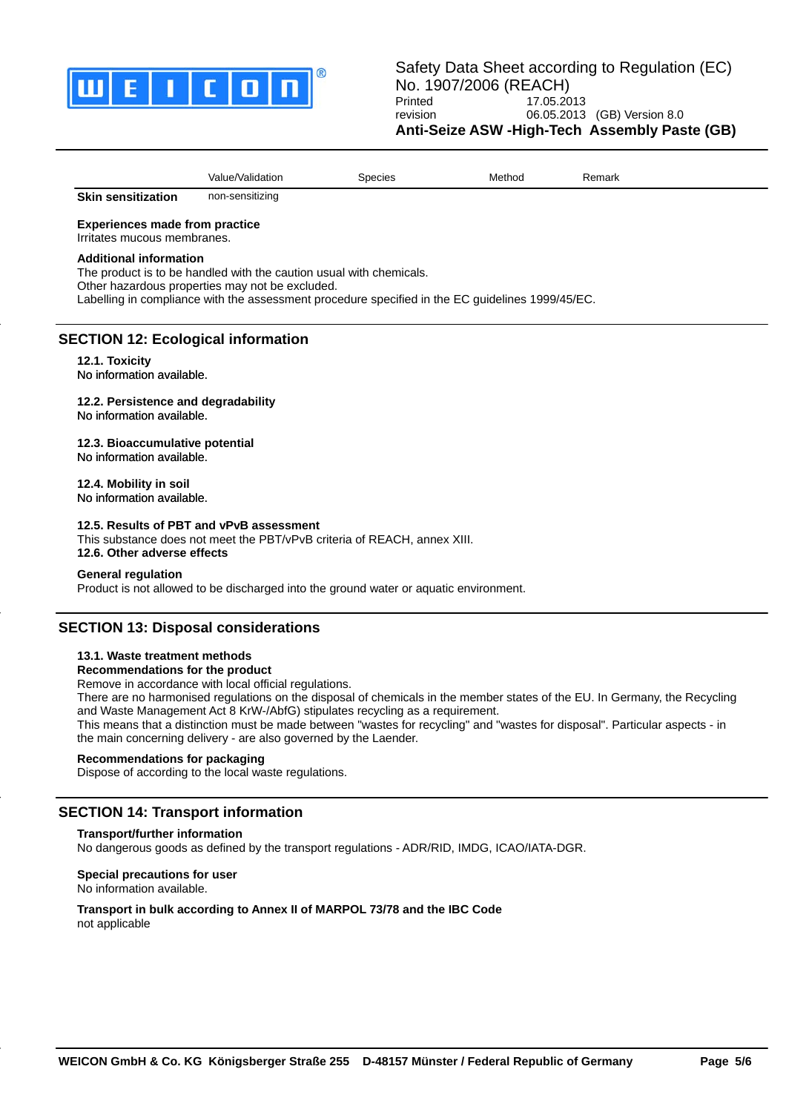

| $\cdots$<br>Value/Validation | Species | Methoo | -<br>Remark |  |
|------------------------------|---------|--------|-------------|--|
|------------------------------|---------|--------|-------------|--|

**Skin sensitization** non-sensitizing

### **Experiences made from practice**

Irritates mucous membranes.

#### **Additional information**

The product is to be handled with the caution usual with chemicals. Other hazardous properties may not be excluded. Labelling in compliance with the assessment procedure specified in the EC guidelines 1999/45/EC.

# **SECTION 12: Ecological information**

**12.1. Toxicity** No information available.

**12.2. Persistence and degradability** No information available.

**12.3. Bioaccumulative potential** No information available.

**12.4. Mobility in soil** No information available.

### **12.5. Results of PBT and vPvB assessment**

This substance does not meet the PBT/vPvB criteria of REACH, annex XIII. **12.6. Other adverse effects**

#### **General regulation**

Product is not allowed to be discharged into the ground water or aquatic environment.

# **SECTION 13: Disposal considerations**

### **13.1. Waste treatment methods**

## **Recommendations for the product**

Remove in accordance with local official regulations.

There are no harmonised regulations on the disposal of chemicals in the member states of the EU. In Germany, the Recycling and Waste Management Act 8 KrW-/AbfG) stipulates recycling as a requirement.

This means that a distinction must be made between "wastes for recycling" and "wastes for disposal". Particular aspects - in the main concerning delivery - are also governed by the Laender.

## **Recommendations for packaging**

Dispose of according to the local waste regulations.

## **SECTION 14: Transport information**

## **Transport/further information**

No dangerous goods as defined by the transport regulations - ADR/RID, IMDG, ICAO/IATA-DGR.

**Special precautions for user** No information available.

**Transport in bulk according to Annex II of MARPOL 73/78 and the IBC Code** not applicable